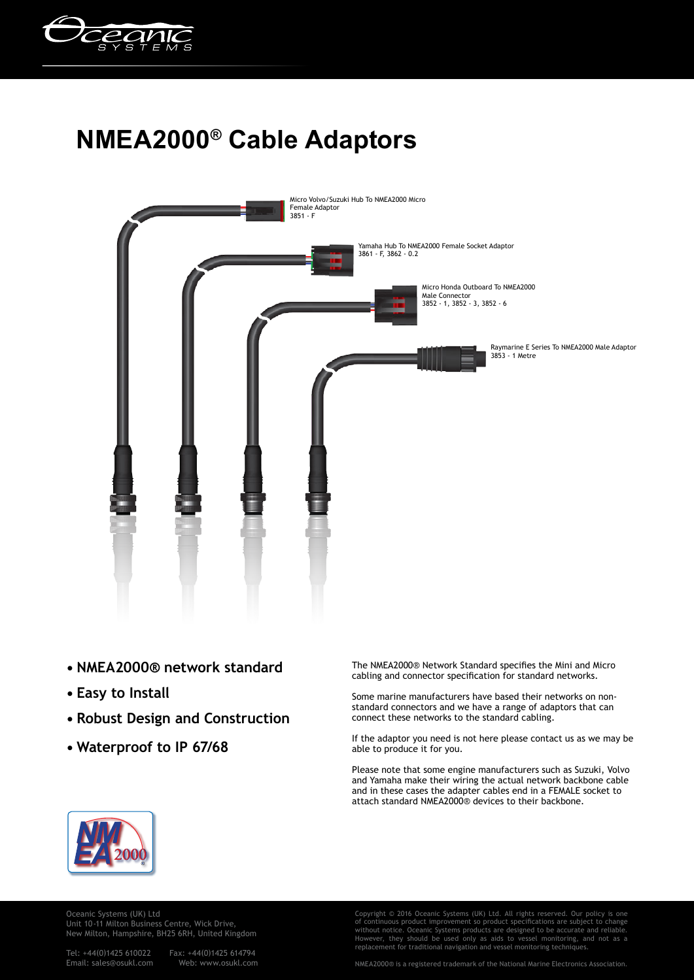

## **NMEA2000® Cable Adaptors**



- **NMEA2000® network standard**
- **Easy to Install**
- **Robust Design and Construction**
- **Waterproof to IP 67/68**

The NMEA2000® Network Standard specifies the Mini and Micro cabling and connector specification for standard networks.

Some marine manufacturers have based their networks on nonstandard connectors and we have a range of adaptors that can connect these networks to the standard cabling.

If the adaptor you need is not here please contact us as we may be able to produce it for you.

Please note that some engine manufacturers such as Suzuki, Volvo and Yamaha make their wiring the actual network backbone cable and in these cases the adapter cables end in a FEMALE socket to attach standard NMEA2000® devices to their backbone.



Oceanic Systems (UK) Ltd Unit 10-11 Milton Business Centre, Wick Drive, New Milton, Hampshire, BH25 6RH, United Kingdom

Email: sales@osukl.com

Tel: +44(0)1425 610022 Fax: +44(0)1425 614794

Copyright © 2016 Oceanic Systems (UK) Ltd. All rights reserved. Our policy is one of continuous product improvement so product specifications are subject to change without notice. Oceanic Systems products are designed to be accurate and reliable.<br>However, they should be used only as aids to vessel monitoring, and not as a<br>replacement for traditional navigation and vessel monitoring t

NMEA2000® is a registered trademark of the National Marine Electronics Association.